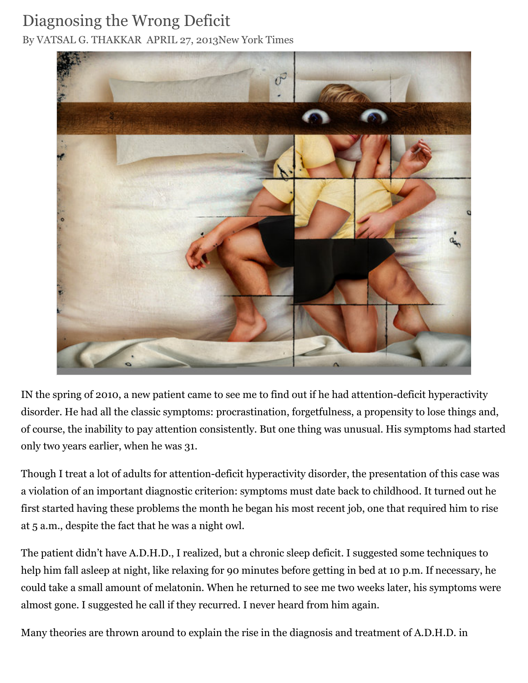## Diagnosing the Wrong Deficit

By VATSAL G. THAKKAR APRIL 27, 2013New York Times



IN the spring of 2010, a new patient came to see me to find out if he had attention-deficit hyperactivity disorder. He had all the classic symptoms: procrastination, forgetfulness, a propensity to lose things and, of course, the inability to pay attention consistently. But one thing was unusual. His symptoms had started only two years earlier, when he was 31.

Though I treat a lot of adults for attention-deficit hyperactivity disorder, the presentation of this case was a violation of an important diagnostic criterion: symptoms must date back to childhood. It turned out he first started having these problems the month he began his most recent job, one that required him to rise at 5 a.m., despite the fact that he was a night owl.

The patient didn't have A.D.H.D., I realized, but a chronic sleep deficit. I suggested some techniques to help him fall asleep at night, like relaxing for 90 minutes before getting in bed at 10 p.m. If necessary, he could take a small amount of melatonin. When he returned to see me two weeks later, his symptoms were almost gone. I suggested he call if they recurred. I never heard from him again.

Many theories are thrown around to explain the rise in the diagnosis and treatment of A.D.H.D. in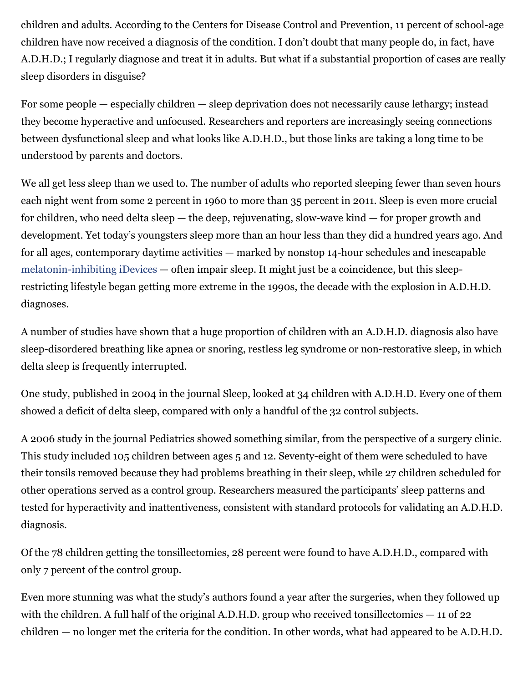children and adults. According to the Centers for Disease Control and Prevention, 11 percent of school-age children have now received a diagnosis of the condition. I don't doubt that many people do, in fact, have A.D.H.D.; I regularly diagnose and treat it in adults. But what if a substantial proportion of cases are really sleep disorders in disguise?

For some people — especially children — sleep deprivation does not necessarily cause lethargy; instead they become hyperactive and unfocused. Researchers and reporters are increasingly seeing connections between dysfunctional sleep and what looks like A.D.H.D., but those links are taking a long time to be understood by parents and doctors.

We all get less sleep than we used to. The number of adults who reported sleeping fewer than seven hours each night went from some 2 percent in 1960 to more than 35 percent in 2011. Sleep is even more crucial for children, who need delta sleep — the deep, rejuvenating, slow-wave kind — for proper growth and development. Yet today's youngsters sleep more than an hour less than they did a hundred years ago. And for all ages, contemporary daytime activities — marked by nonstop 14-hour schedules and inescapable [melatonin-inhibiting iDevices](http://www.scientificamerican.com/article.cfm?id=bright-screens-could-delay-bedtime) — often impair sleep. It might just be a coincidence, but this sleeprestricting lifestyle began getting more extreme in the 1990s, the decade with the explosion in A.D.H.D. diagnoses.

A number of studies have shown that a huge proportion of children with an A.D.H.D. diagnosis also have sleep-disordered breathing like apnea or snoring, restless leg syndrome or non-restorative sleep, in which delta sleep is frequently interrupted.

One study, published in 2004 in the journal Sleep, looked at 34 children with A.D.H.D. Every one of them showed a deficit of delta sleep, compared with only a handful of the 32 control subjects.

A 2006 study in the journal Pediatrics showed something similar, from the perspective of a surgery clinic. This study included 105 children between ages 5 and 12. Seventy-eight of them were scheduled to have their tonsils removed because they had problems breathing in their sleep, while 27 children scheduled for other operations served as a control group. Researchers measured the participants' sleep patterns and tested for hyperactivity and inattentiveness, consistent with standard protocols for validating an A.D.H.D. diagnosis.

Of the 78 children getting the tonsillectomies, 28 percent were found to have A.D.H.D., compared with only 7 percent of the control group.

Even more stunning was what the study's authors found a year after the surgeries, when they followed up with the children. A full half of the original A.D.H.D. group who received tonsillectomies  $-11$  of 22 children — no longer met the criteria for the condition. In other words, what had appeared to be A.D.H.D.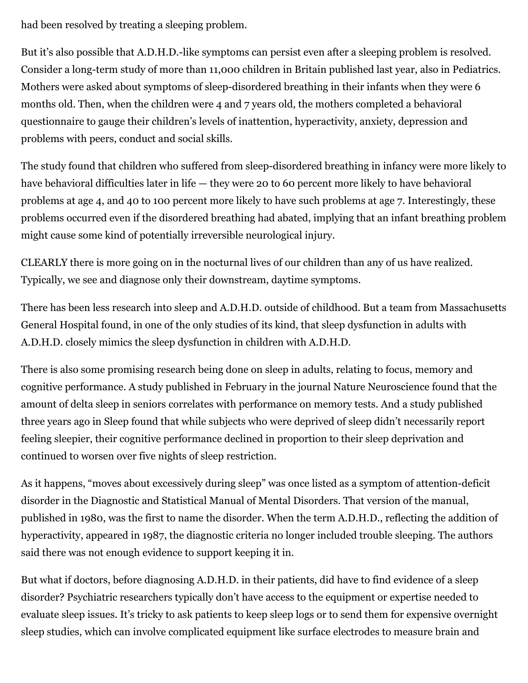had been resolved by treating a sleeping problem.

But it's also possible that A.D.H.D.-like symptoms can persist even after a sleeping problem is resolved. Consider a long-term study of more than 11,000 children in Britain published last year, also in Pediatrics. Mothers were asked about symptoms of sleep-disordered breathing in their infants when they were 6 months old. Then, when the children were 4 and 7 years old, the mothers completed a behavioral questionnaire to gauge their children's levels of inattention, hyperactivity, anxiety, depression and problems with peers, conduct and social skills.

The study found that children who suffered from sleep-disordered breathing in infancy were more likely to have behavioral difficulties later in life — they were 20 to 60 percent more likely to have behavioral problems at age 4, and 40 to 100 percent more likely to have such problems at age 7. Interestingly, these problems occurred even if the disordered breathing had abated, implying that an infant breathing problem might cause some kind of potentially irreversible neurological injury.

CLEARLY there is more going on in the nocturnal lives of our children than any of us have realized. Typically, we see and diagnose only their downstream, daytime symptoms.

There has been less research into sleep and A.D.H.D. outside of childhood. But a team from Massachusetts General Hospital found, in one of the only studies of its kind, that sleep dysfunction in adults with A.D.H.D. closely mimics the sleep dysfunction in children with A.D.H.D.

There is also some promising research being done on sleep in adults, relating to focus, memory and cognitive performance. A study published in February in the journal Nature Neuroscience found that the amount of delta sleep in seniors correlates with performance on memory tests. And a study published three years ago in Sleep found that while subjects who were deprived of sleep didn't necessarily report feeling sleepier, their cognitive performance declined in proportion to their sleep deprivation and continued to worsen over five nights of sleep restriction.

As it happens, "moves about excessively during sleep" was once listed as a symptom of attention-deficit disorder in the Diagnostic and Statistical Manual of Mental Disorders. That version of the manual, published in 1980, was the first to name the disorder. When the term A.D.H.D., reflecting the addition of hyperactivity, appeared in 1987, the diagnostic criteria no longer included trouble sleeping. The authors said there was not enough evidence to support keeping it in.

But what if doctors, before diagnosing A.D.H.D. in their patients, did have to find evidence of a sleep disorder? Psychiatric researchers typically don't have access to the equipment or expertise needed to evaluate sleep issues. It's tricky to ask patients to keep sleep logs or to send them for expensive overnight sleep studies, which can involve complicated equipment like surface electrodes to measure brain and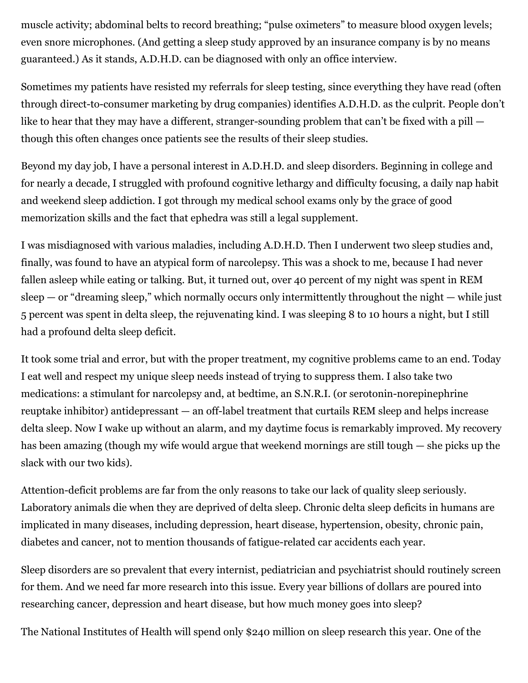muscle activity; abdominal belts to record breathing; "pulse oximeters" to measure blood oxygen levels; even snore microphones. (And getting a sleep study approved by an insurance company is by no means guaranteed.) As it stands, A.D.H.D. can be diagnosed with only an office interview.

Sometimes my patients have resisted my referrals for sleep testing, since everything they have read (often through direct-to-consumer marketing by drug companies) identifies A.D.H.D. as the culprit. People don't like to hear that they may have a different, stranger-sounding problem that can't be fixed with a pill though this often changes once patients see the results of their sleep studies.

Beyond my day job, I have a personal interest in A.D.H.D. and sleep disorders. Beginning in college and for nearly a decade, I struggled with profound cognitive lethargy and difficulty focusing, a daily nap habit and weekend sleep addiction. I got through my medical school exams only by the grace of good memorization skills and the fact that ephedra was still a legal supplement.

I was misdiagnosed with various maladies, including A.D.H.D. Then I underwent two sleep studies and, finally, was found to have an atypical form of narcolepsy. This was a shock to me, because I had never fallen asleep while eating or talking. But, it turned out, over 40 percent of my night was spent in REM sleep — or "dreaming sleep," which normally occurs only intermittently throughout the night — while just 5 percent was spent in delta sleep, the rejuvenating kind. I was sleeping 8 to 10 hours a night, but I still had a profound delta sleep deficit.

It took some trial and error, but with the proper treatment, my cognitive problems came to an end. Today I eat well and respect my unique sleep needs instead of trying to suppress them. I also take two medications: a stimulant for narcolepsy and, at bedtime, an S.N.R.I. (or serotonin-norepinephrine reuptake inhibitor) antidepressant — an off-label treatment that curtails REM sleep and helps increase delta sleep. Now I wake up without an alarm, and my daytime focus is remarkably improved. My recovery has been amazing (though my wife would argue that weekend mornings are still tough — she picks up the slack with our two kids).

Attention-deficit problems are far from the only reasons to take our lack of quality sleep seriously. Laboratory animals die when they are deprived of delta sleep. Chronic delta sleep deficits in humans are implicated in many diseases, including depression, heart disease, hypertension, obesity, chronic pain, diabetes and cancer, not to mention thousands of fatigue-related car accidents each year.

Sleep disorders are so prevalent that every internist, pediatrician and psychiatrist should routinely screen for them. And we need far more research into this issue. Every year billions of dollars are poured into researching cancer, depression and heart disease, but how much money goes into sleep?

The National Institutes of Health will spend only \$240 million on sleep research this year. One of the